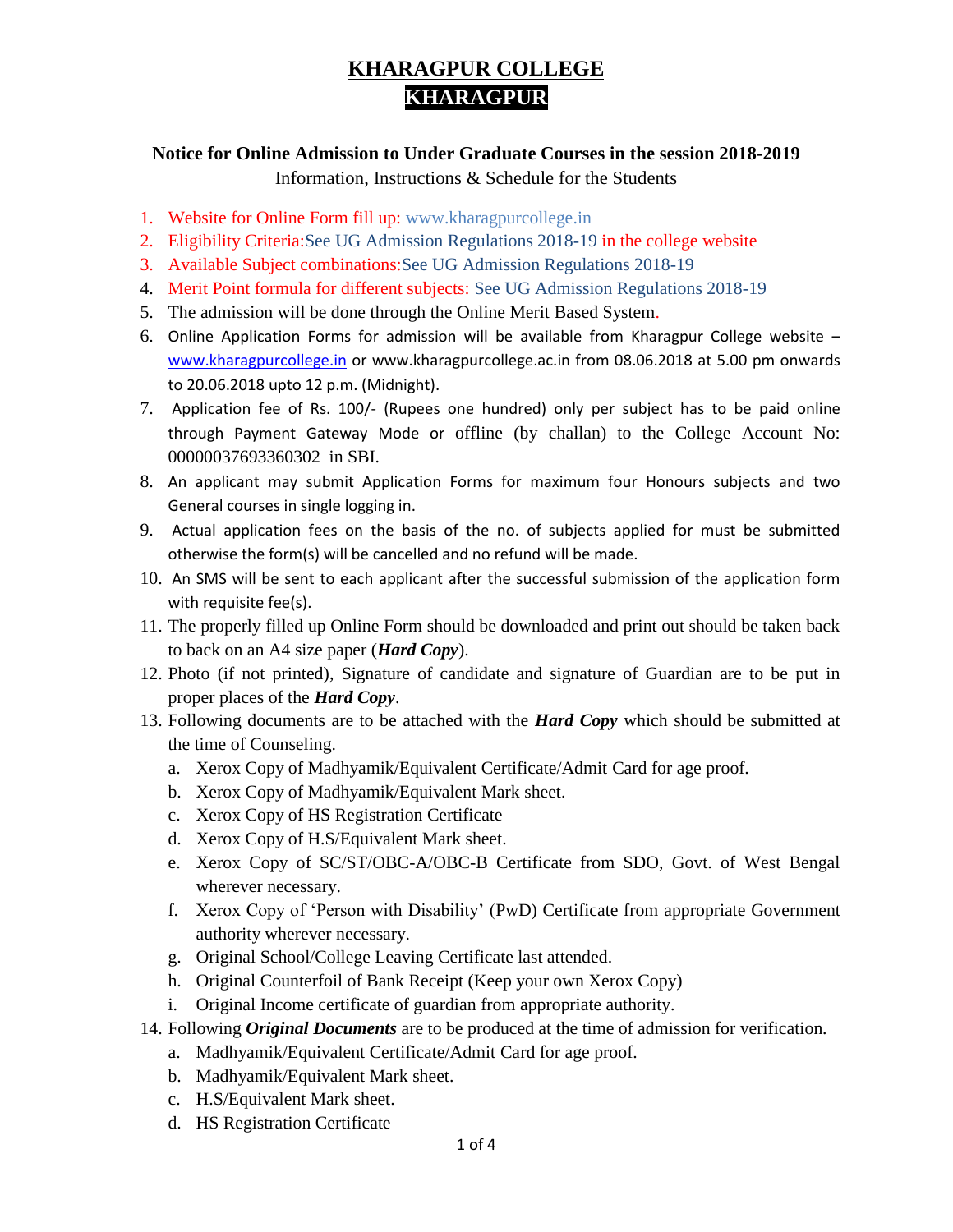## **KHARAGPUR COLLEGE KHARAGPUR**

#### **Notice for Online Admission to Under Graduate Courses in the session 2018-2019** Information, Instructions & Schedule for the Students

- 1. Website for Online Form fill up: www.kharagpurcollege.in
- 2. Eligibility Criteria:See UG Admission Regulations 2018-19 in the college website
- 3. Available Subject combinations:See UG Admission Regulations 2018-19
- 4. Merit Point formula for different subjects: See UG Admission Regulations 2018-19
- 5. The admission will be done through the Online Merit Based System.
- 6. Online Application Forms for admission will be available from Kharagpur College website [www.kharagpurcollege.in](http://www.kharagpurcollege.in/) or www.kharagpurcollege.ac.in from 08.06.2018 at 5.00 pm onwards to 20.06.2018 upto 12 p.m. (Midnight).
- 7. Application fee of Rs. 100/- (Rupees one hundred) only per subject has to be paid online through Payment Gateway Mode or offline (by challan) to the College Account No: 00000037693360302 in SBI.
- 8. An applicant may submit Application Forms for maximum four Honours subjects and two General courses in single logging in.
- 9. Actual application fees on the basis of the no. of subjects applied for must be submitted otherwise the form(s) will be cancelled and no refund will be made.
- 10. An SMS will be sent to each applicant after the successful submission of the application form with requisite fee(s).
- 11. The properly filled up Online Form should be downloaded and print out should be taken back to back on an A4 size paper (*Hard Copy*).
- 12. Photo (if not printed), Signature of candidate and signature of Guardian are to be put in proper places of the *Hard Copy*.
- 13. Following documents are to be attached with the *Hard Copy* which should be submitted at the time of Counseling.
	- a. Xerox Copy of Madhyamik/Equivalent Certificate/Admit Card for age proof.
	- b. Xerox Copy of Madhyamik/Equivalent Mark sheet.
	- c. Xerox Copy of HS Registration Certificate
	- d. Xerox Copy of H.S/Equivalent Mark sheet.
	- e. Xerox Copy of SC/ST/OBC-A/OBC-B Certificate from SDO, Govt. of West Bengal wherever necessary.
	- f. Xerox Copy of 'Person with Disability' (PwD) Certificate from appropriate Government authority wherever necessary.
	- g. Original School/College Leaving Certificate last attended.
	- h. Original Counterfoil of Bank Receipt (Keep your own Xerox Copy)
	- i. Original Income certificate of guardian from appropriate authority.
- 14. Following *Original Documents* are to be produced at the time of admission for verification.
	- a. Madhyamik/Equivalent Certificate/Admit Card for age proof.
	- b. Madhyamik/Equivalent Mark sheet.
	- c. H.S/Equivalent Mark sheet.
	- d. HS Registration Certificate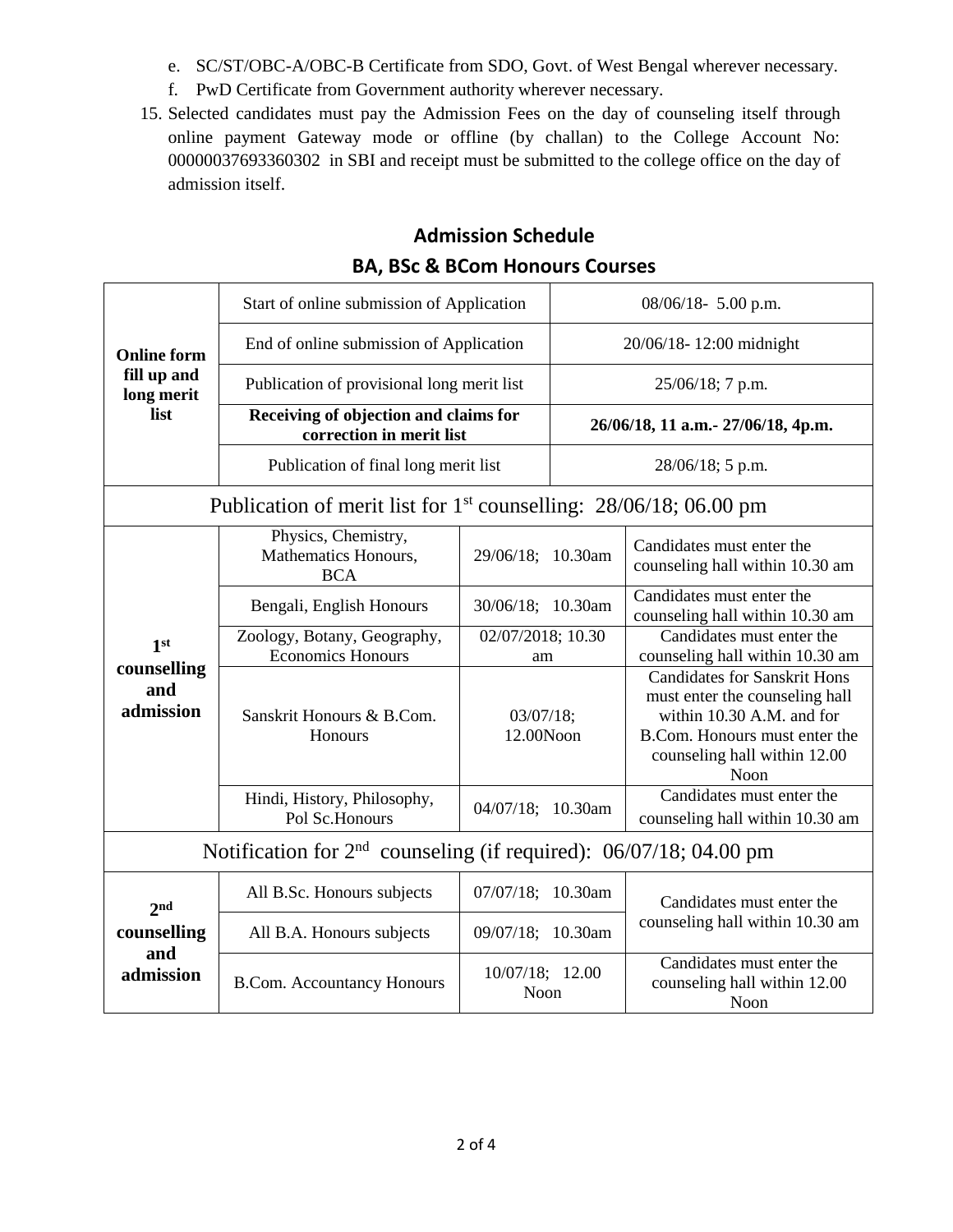- e. SC/ST/OBC-A/OBC-B Certificate from SDO, Govt. of West Bengal wherever necessary.
- f. PwD Certificate from Government authority wherever necessary.
- 15. Selected candidates must pay the Admission Fees on the day of counseling itself through online payment Gateway mode or offline (by challan) to the College Account No: 00000037693360302 in SBI and receipt must be submitted to the college office on the day of admission itself.

### **Admission Schedule BA, BSc & BCom Honours Courses**

| <b>Online form</b><br>fill up and<br>long merit<br>list             | Start of online submission of Application                         |                                | $08/06/18$ - 5.00 p.m.              |                                                                                                                                                                             |  |
|---------------------------------------------------------------------|-------------------------------------------------------------------|--------------------------------|-------------------------------------|-----------------------------------------------------------------------------------------------------------------------------------------------------------------------------|--|
|                                                                     | End of online submission of Application                           |                                | 20/06/18-12:00 midnight             |                                                                                                                                                                             |  |
|                                                                     | Publication of provisional long merit list                        |                                | 25/06/18; 7 p.m.                    |                                                                                                                                                                             |  |
|                                                                     | Receiving of objection and claims for<br>correction in merit list |                                | 26/06/18, 11 a.m. - 27/06/18, 4p.m. |                                                                                                                                                                             |  |
|                                                                     | Publication of final long merit list                              |                                | 28/06/18; 5 p.m.                    |                                                                                                                                                                             |  |
| Publication of merit list for $1st$ counselling: 28/06/18; 06.00 pm |                                                                   |                                |                                     |                                                                                                                                                                             |  |
| 1 <sup>st</sup><br>counselling<br>and<br>admission                  | Physics, Chemistry,<br>Mathematics Honours,<br><b>BCA</b>         | 29/06/18; 10.30am              |                                     | Candidates must enter the<br>counseling hall within 10.30 am                                                                                                                |  |
|                                                                     | Bengali, English Honours                                          | 30/06/18; 10.30am              |                                     | Candidates must enter the<br>counseling hall within 10.30 am                                                                                                                |  |
|                                                                     | Zoology, Botany, Geography,<br><b>Economics Honours</b>           | 02/07/2018; 10.30<br>am        |                                     | Candidates must enter the<br>counseling hall within 10.30 am                                                                                                                |  |
|                                                                     | Sanskrit Honours & B.Com.<br>Honours                              | 03/07/18;<br>12.00Noon         |                                     | <b>Candidates for Sanskrit Hons</b><br>must enter the counseling hall<br>within 10.30 A.M. and for<br>B.Com. Honours must enter the<br>counseling hall within 12.00<br>Noon |  |
|                                                                     | Hindi, History, Philosophy,<br>Pol Sc.Honours                     | 04/07/18; 10.30am              |                                     | Candidates must enter the<br>counseling hall within 10.30 am                                                                                                                |  |
| Notification for $2nd$ counseling (if required): 06/07/18; 04.00 pm |                                                                   |                                |                                     |                                                                                                                                                                             |  |
| 2 <sub>nd</sub><br>counselling<br>and<br>admission                  | All B.Sc. Honours subjects                                        | 07/07/18; 10.30am              |                                     | Candidates must enter the                                                                                                                                                   |  |
|                                                                     | All B.A. Honours subjects                                         | 09/07/18; 10.30am              |                                     | counseling hall within 10.30 am                                                                                                                                             |  |
|                                                                     | <b>B.Com. Accountancy Honours</b>                                 | 10/07/18; 12.00<br><b>Noon</b> |                                     | Candidates must enter the<br>counseling hall within 12.00<br>Noon                                                                                                           |  |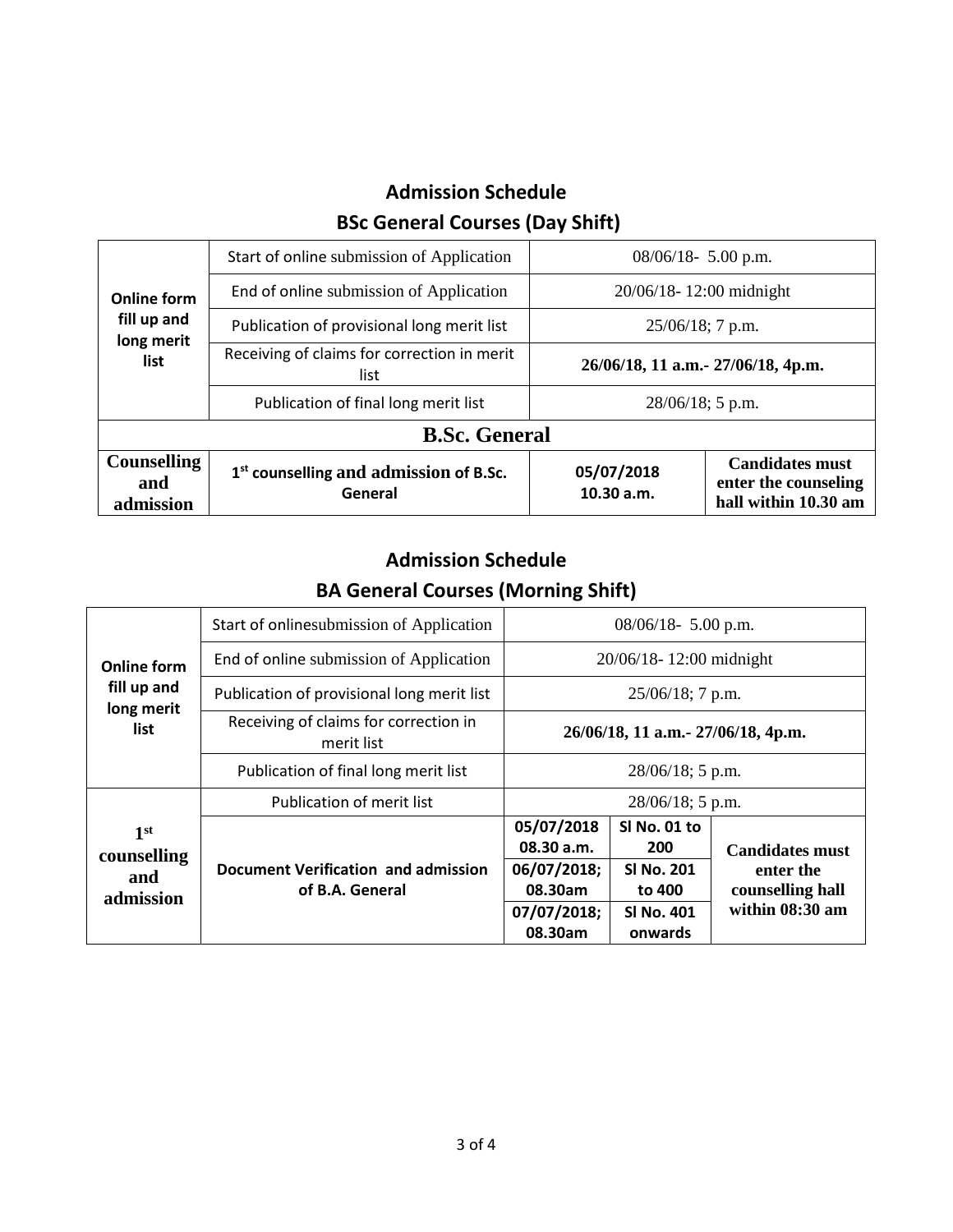# **Admission Schedule BSc General Courses (Day Shift)**

| <b>Online form</b><br>fill up and<br>long merit<br>list | Start of online submission of Application                     | $08/06/18$ - 5.00 p.m.              |                                                                        |  |  |
|---------------------------------------------------------|---------------------------------------------------------------|-------------------------------------|------------------------------------------------------------------------|--|--|
|                                                         | End of online submission of Application                       | 20/06/18-12:00 midnight             |                                                                        |  |  |
|                                                         | Publication of provisional long merit list                    | $25/06/18$ ; 7 p.m.                 |                                                                        |  |  |
|                                                         | Receiving of claims for correction in merit<br>list           | 26/06/18, 11 a.m. - 27/06/18, 4p.m. |                                                                        |  |  |
|                                                         | Publication of final long merit list                          | $28/06/18$ ; 5 p.m.                 |                                                                        |  |  |
| <b>B.Sc. General</b>                                    |                                                               |                                     |                                                                        |  |  |
| <b>Counselling</b><br>and<br>admission                  | 1 <sup>st</sup> counselling and admission of B.Sc.<br>General | 05/07/2018<br>10.30 a.m.            | <b>Candidates must</b><br>enter the counseling<br>hall within 10.30 am |  |  |

# **Admission Schedule BA General Courses (Morning Shift)**

| <b>Online form</b><br>fill up and<br>long merit<br>list | Start of onlinesubmission of Application               | $08/06/18$ - 5.00 p.m.                                                       |                                                                             |                                                                            |
|---------------------------------------------------------|--------------------------------------------------------|------------------------------------------------------------------------------|-----------------------------------------------------------------------------|----------------------------------------------------------------------------|
|                                                         | End of online submission of Application                | 20/06/18-12:00 midnight                                                      |                                                                             |                                                                            |
|                                                         | Publication of provisional long merit list             | $25/06/18$ ; 7 p.m.                                                          |                                                                             |                                                                            |
|                                                         | Receiving of claims for correction in<br>merit list    | 26/06/18, 11 a.m. - 27/06/18, 4p.m.                                          |                                                                             |                                                                            |
|                                                         | Publication of final long merit list                   | $28/06/18$ ; 5 p.m.                                                          |                                                                             |                                                                            |
|                                                         | Publication of merit list                              | $28/06/18$ ; 5 p.m.                                                          |                                                                             |                                                                            |
| 1 <sup>st</sup><br>counselling<br>and<br>admission      | Document Verification and admission<br>of B.A. General | 05/07/2018<br>08.30 a.m.<br>06/07/2018;<br>08.30am<br>07/07/2018;<br>08.30am | SI No. 01 to<br>200<br><b>SI No. 201</b><br>to 400<br>SI No. 401<br>onwards | <b>Candidates must</b><br>enter the<br>counselling hall<br>within 08:30 am |